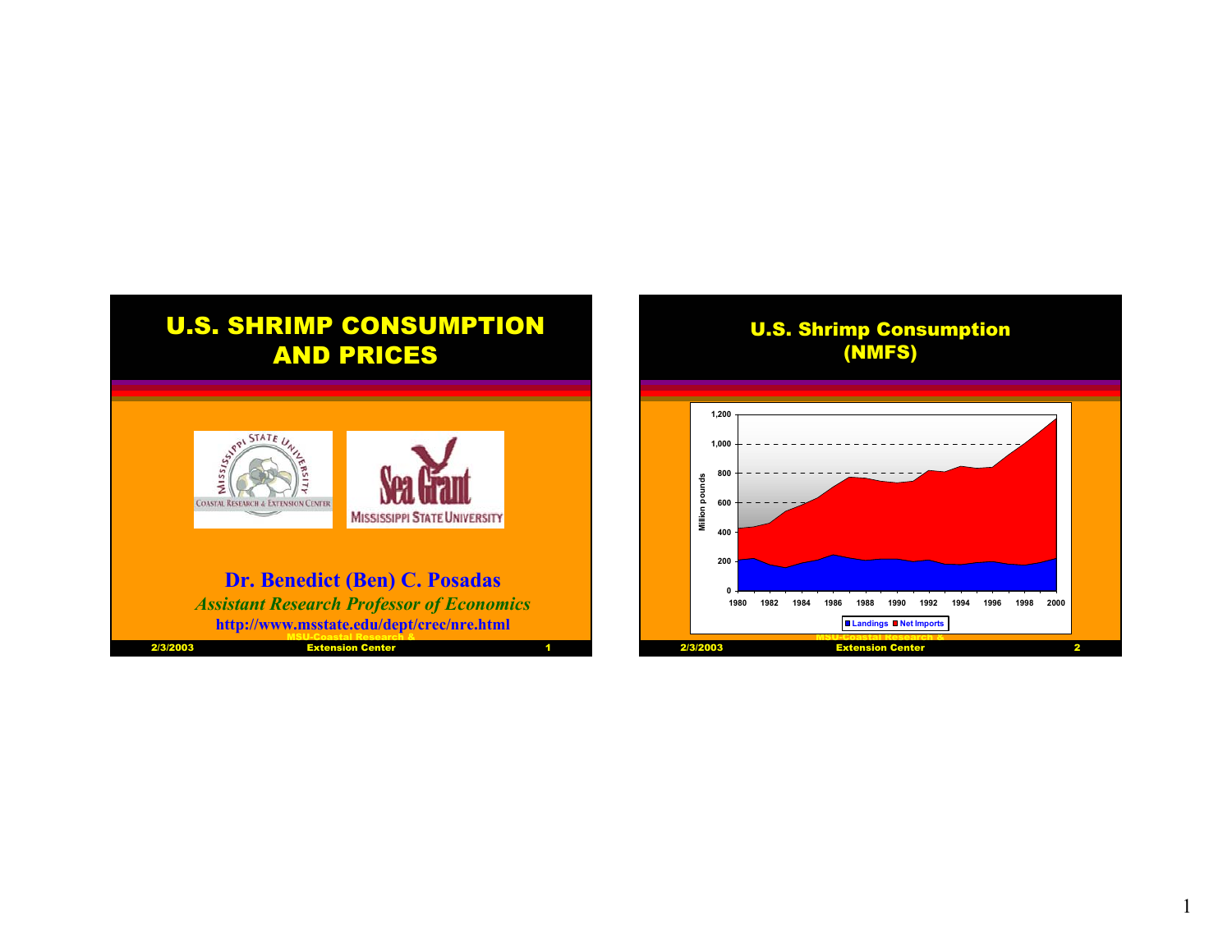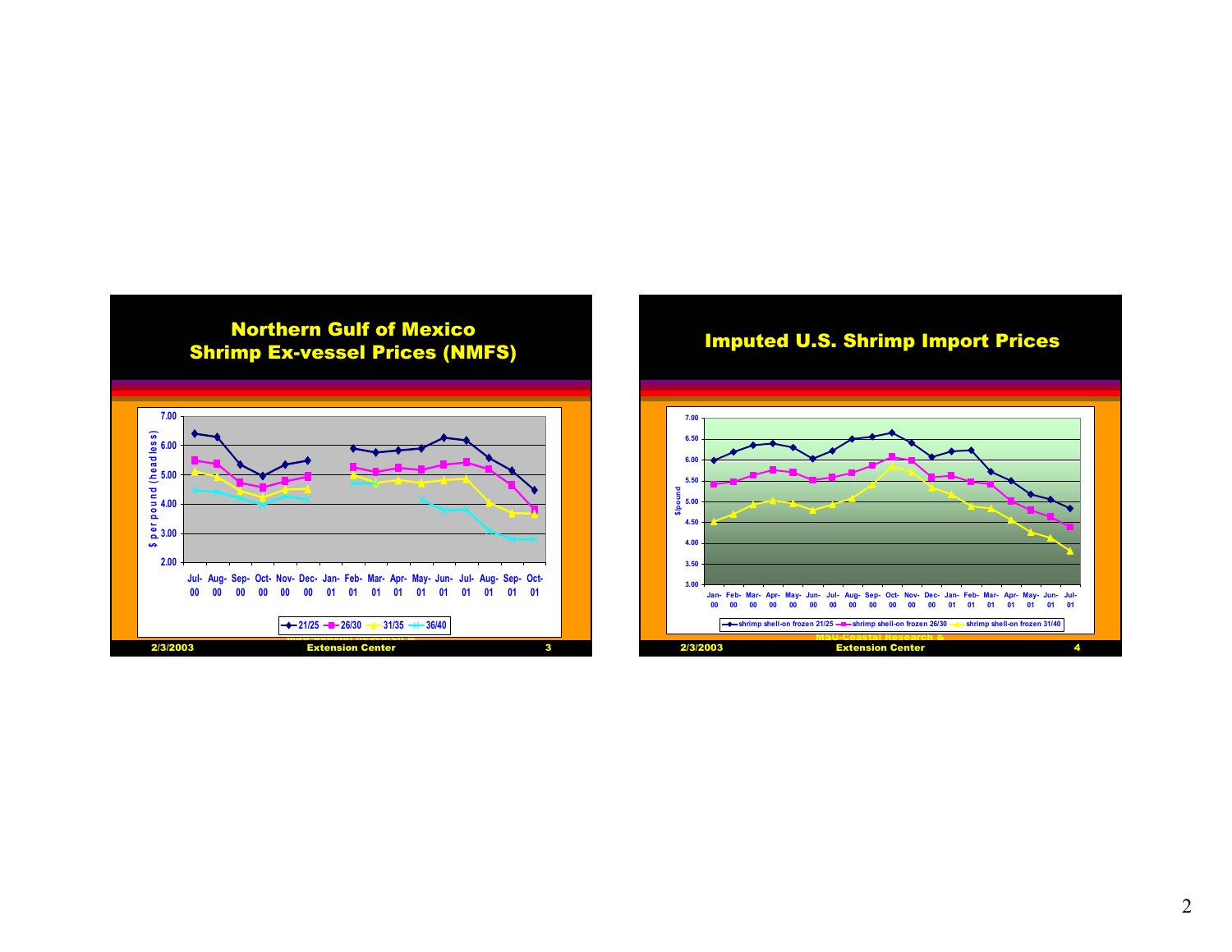